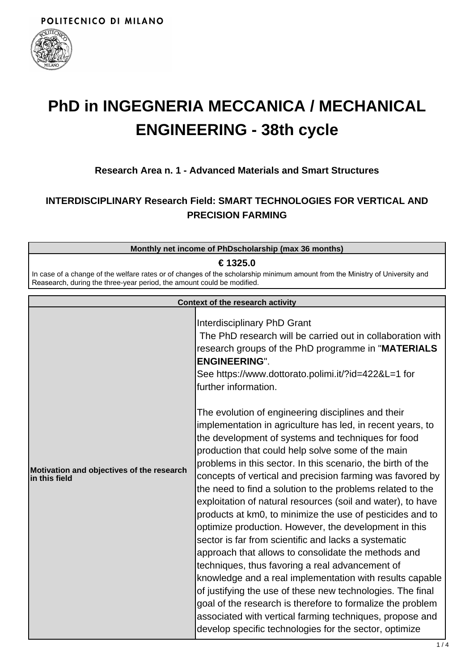

# **PhD in INGEGNERIA MECCANICA / MECHANICAL ENGINEERING - 38th cycle**

## **Research Area n. 1 - Advanced Materials and Smart Structures**

# **INTERDISCIPLINARY Research Field: SMART TECHNOLOGIES FOR VERTICAL AND PRECISION FARMING**

| Monthly net income of PhDscholarship (max 36 months)                                                                                                                                                   |  |  |
|--------------------------------------------------------------------------------------------------------------------------------------------------------------------------------------------------------|--|--|
| € 1325.0                                                                                                                                                                                               |  |  |
| In case of a change of the welfare rates or of changes of the scholarship minimum amount from the Ministry of University and<br>Reasearch, during the three-year period, the amount could be modified. |  |  |
|                                                                                                                                                                                                        |  |  |
| Contavt of the research setivity                                                                                                                                                                       |  |  |

| <b>Context of the research activity</b>                    |                                                                                                                                                                                                                                                                                                                                                                                                                                                                                                                                                                                                                                                                                                                                                                                                                                                                                                                                                                                                                                      |
|------------------------------------------------------------|--------------------------------------------------------------------------------------------------------------------------------------------------------------------------------------------------------------------------------------------------------------------------------------------------------------------------------------------------------------------------------------------------------------------------------------------------------------------------------------------------------------------------------------------------------------------------------------------------------------------------------------------------------------------------------------------------------------------------------------------------------------------------------------------------------------------------------------------------------------------------------------------------------------------------------------------------------------------------------------------------------------------------------------|
|                                                            | Interdisciplinary PhD Grant<br>The PhD research will be carried out in collaboration with<br>research groups of the PhD programme in "MATERIALS<br><b>ENGINEERING".</b><br>See https://www.dottorato.polimi.it/?id=422&L=1 for<br>further information.<br>The evolution of engineering disciplines and their                                                                                                                                                                                                                                                                                                                                                                                                                                                                                                                                                                                                                                                                                                                         |
| Motivation and objectives of the research<br>in this field | implementation in agriculture has led, in recent years, to<br>the development of systems and techniques for food<br>production that could help solve some of the main<br>problems in this sector. In this scenario, the birth of the<br>concepts of vertical and precision farming was favored by<br>the need to find a solution to the problems related to the<br>exploitation of natural resources (soil and water), to have<br>products at km0, to minimize the use of pesticides and to<br>optimize production. However, the development in this<br>sector is far from scientific and lacks a systematic<br>approach that allows to consolidate the methods and<br>techniques, thus favoring a real advancement of<br>knowledge and a real implementation with results capable<br>of justifying the use of these new technologies. The final<br>goal of the research is therefore to formalize the problem<br>associated with vertical farming techniques, propose and<br>develop specific technologies for the sector, optimize |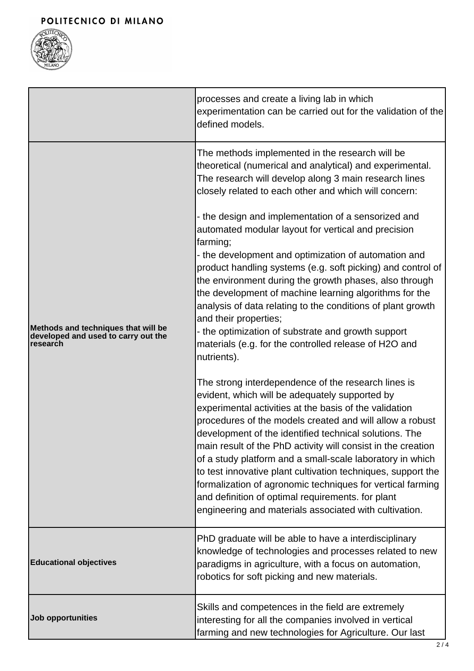

|                                                                                        | processes and create a living lab in which<br>experimentation can be carried out for the validation of the<br>defined models.                                                                                                                                                                                                                                                                                                                                                                                                                                                                                                                                                                                                                                                                                                                                                                                                                                                                                                                                                                                                                                                                                                                                                                                                                                                                                                                                                               |
|----------------------------------------------------------------------------------------|---------------------------------------------------------------------------------------------------------------------------------------------------------------------------------------------------------------------------------------------------------------------------------------------------------------------------------------------------------------------------------------------------------------------------------------------------------------------------------------------------------------------------------------------------------------------------------------------------------------------------------------------------------------------------------------------------------------------------------------------------------------------------------------------------------------------------------------------------------------------------------------------------------------------------------------------------------------------------------------------------------------------------------------------------------------------------------------------------------------------------------------------------------------------------------------------------------------------------------------------------------------------------------------------------------------------------------------------------------------------------------------------------------------------------------------------------------------------------------------------|
| Methods and techniques that will be<br>developed and used to carry out the<br>research | The methods implemented in the research will be<br>theoretical (numerical and analytical) and experimental.<br>The research will develop along 3 main research lines<br>closely related to each other and which will concern:<br>- the design and implementation of a sensorized and<br>automated modular layout for vertical and precision<br>farming;<br>- the development and optimization of automation and<br>product handling systems (e.g. soft picking) and control of<br>the environment during the growth phases, also through<br>the development of machine learning algorithms for the<br>analysis of data relating to the conditions of plant growth<br>and their properties;<br>- the optimization of substrate and growth support<br>materials (e.g. for the controlled release of H2O and<br>nutrients).<br>The strong interdependence of the research lines is<br>evident, which will be adequately supported by<br>experimental activities at the basis of the validation<br>procedures of the models created and will allow a robust<br>development of the identified technical solutions. The<br>main result of the PhD activity will consist in the creation<br>of a study platform and a small-scale laboratory in which<br>to test innovative plant cultivation techniques, support the<br>formalization of agronomic techniques for vertical farming<br>and definition of optimal requirements. for plant<br>engineering and materials associated with cultivation. |
| <b>Educational objectives</b>                                                          | PhD graduate will be able to have a interdisciplinary<br>knowledge of technologies and processes related to new<br>paradigms in agriculture, with a focus on automation,<br>robotics for soft picking and new materials.                                                                                                                                                                                                                                                                                                                                                                                                                                                                                                                                                                                                                                                                                                                                                                                                                                                                                                                                                                                                                                                                                                                                                                                                                                                                    |
| Job opportunities                                                                      | Skills and competences in the field are extremely<br>interesting for all the companies involved in vertical<br>farming and new technologies for Agriculture. Our last                                                                                                                                                                                                                                                                                                                                                                                                                                                                                                                                                                                                                                                                                                                                                                                                                                                                                                                                                                                                                                                                                                                                                                                                                                                                                                                       |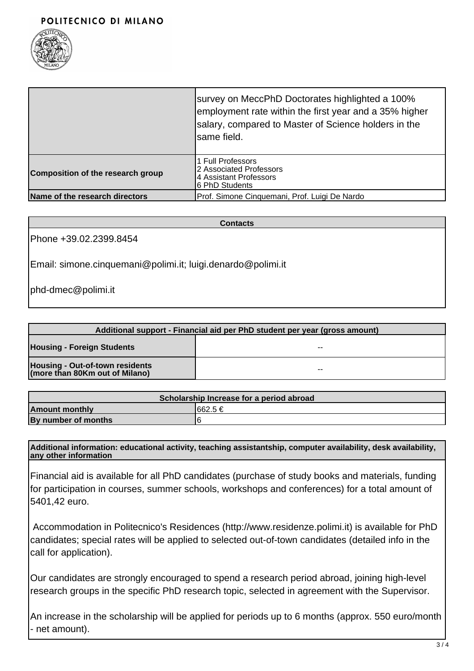

|                                   | survey on MeccPhD Doctorates highlighted a 100%<br>employment rate within the first year and a 35% higher<br>salary, compared to Master of Science holders in the<br>Isame field. |
|-----------------------------------|-----------------------------------------------------------------------------------------------------------------------------------------------------------------------------------|
| Composition of the research group | 1 Full Professors<br>2 Associated Professors<br>4 Assistant Professors<br>6 PhD Students                                                                                          |
| Name of the research directors    | Prof. Simone Cinquemani, Prof. Luigi De Nardo                                                                                                                                     |

#### **Contacts**

Phone +39.02.2399.8454

Email: simone.cinquemani@polimi.it; luigi.denardo@polimi.it

phd-dmec@polimi.it

| Additional support - Financial aid per PhD student per year (gross amount) |    |  |
|----------------------------------------------------------------------------|----|--|
| <b>Housing - Foreign Students</b>                                          | -- |  |
| Housing - Out-of-town residents<br>(more than 80Km out of Milano)          | -- |  |

| Scholarship Increase for a period abroad |          |  |
|------------------------------------------|----------|--|
| <b>Amount monthly</b>                    | I662.5 € |  |
| By number of months                      |          |  |

**Additional information: educational activity, teaching assistantship, computer availability, desk availability, any other information**

Financial aid is available for all PhD candidates (purchase of study books and materials, funding for participation in courses, summer schools, workshops and conferences) for a total amount of 5401,42 euro.

 Accommodation in Politecnico's Residences (http://www.residenze.polimi.it) is available for PhD candidates; special rates will be applied to selected out-of-town candidates (detailed info in the call for application).

Our candidates are strongly encouraged to spend a research period abroad, joining high-level research groups in the specific PhD research topic, selected in agreement with the Supervisor.

An increase in the scholarship will be applied for periods up to 6 months (approx. 550 euro/month - net amount).